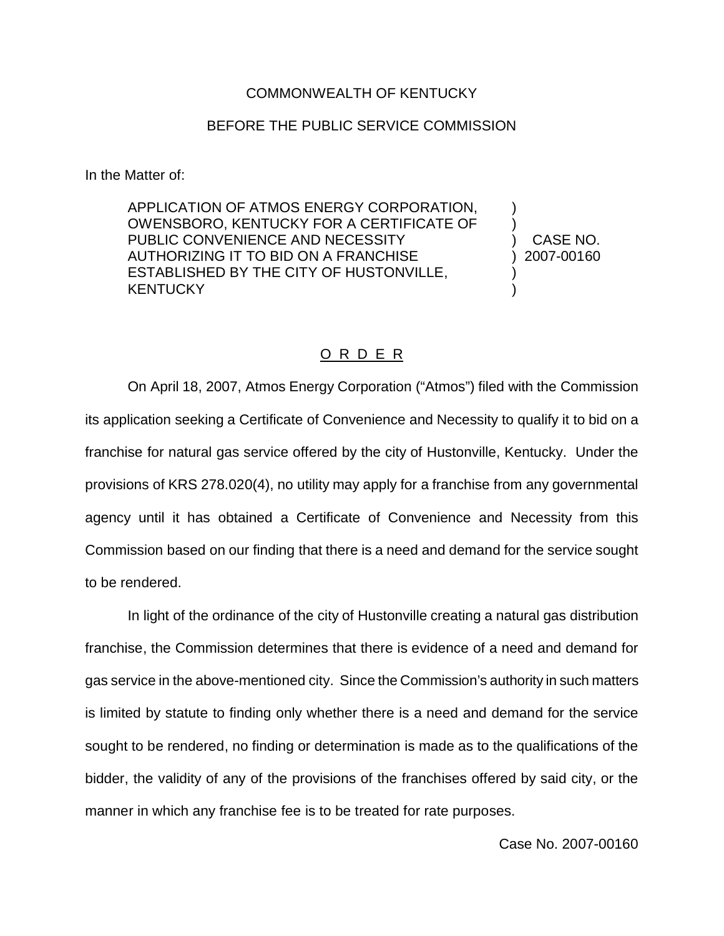## COMMONWEALTH OF KENTUCKY

## BEFORE THE PUBLIC SERVICE COMMISSION

In the Matter of:

APPLICATION OF ATMOS ENERGY CORPORATION, OWENSBORO, KENTUCKY FOR A CERTIFICATE OF PUBLIC CONVENIENCE AND NECESSITY AUTHORIZING IT TO BID ON A FRANCHISE ESTABLISHED BY THE CITY OF HUSTONVILLE, **KENTUCKY** 

) CASE NO. ) 2007-00160

) )

) )

## O R D E R

On April 18, 2007, Atmos Energy Corporation ("Atmos") filed with the Commission its application seeking a Certificate of Convenience and Necessity to qualify it to bid on a franchise for natural gas service offered by the city of Hustonville, Kentucky. Under the provisions of KRS 278.020(4), no utility may apply for a franchise from any governmental agency until it has obtained a Certificate of Convenience and Necessity from this Commission based on our finding that there is a need and demand for the service sought to be rendered.

In light of the ordinance of the city of Hustonville creating a natural gas distribution franchise, the Commission determines that there is evidence of a need and demand for gas service in the above-mentioned city. Since the Commission's authority in such matters is limited by statute to finding only whether there is a need and demand for the service sought to be rendered, no finding or determination is made as to the qualifications of the bidder, the validity of any of the provisions of the franchises offered by said city, or the manner in which any franchise fee is to be treated for rate purposes.

Case No. 2007-00160